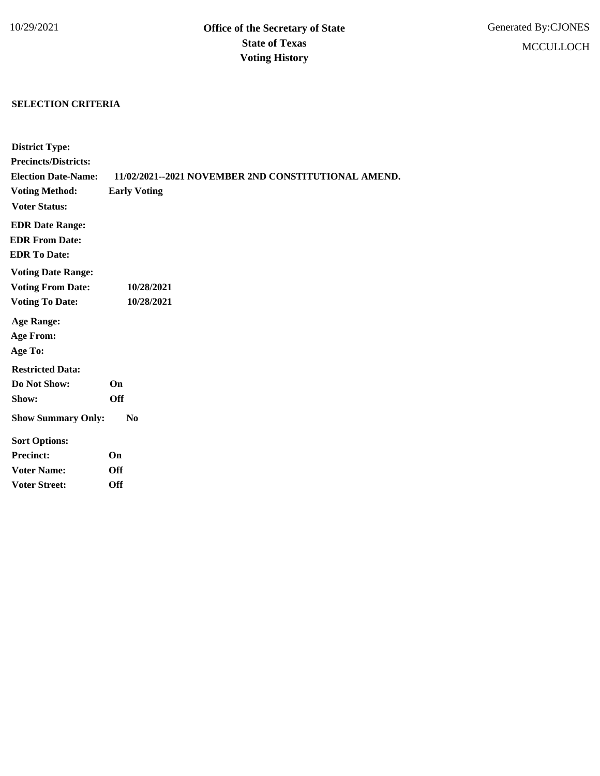## **SELECTION CRITERIA**

| <b>District Type:</b>       |                                                     |
|-----------------------------|-----------------------------------------------------|
| <b>Precincts/Districts:</b> |                                                     |
| <b>Election Date-Name:</b>  | 11/02/2021--2021 NOVEMBER 2ND CONSTITUTIONAL AMEND. |
| <b>Voting Method:</b>       | <b>Early Voting</b>                                 |
| <b>Voter Status:</b>        |                                                     |
| <b>EDR Date Range:</b>      |                                                     |
| <b>EDR From Date:</b>       |                                                     |
| <b>EDR To Date:</b>         |                                                     |
| <b>Voting Date Range:</b>   |                                                     |
| <b>Voting From Date:</b>    | 10/28/2021                                          |
| <b>Voting To Date:</b>      | 10/28/2021                                          |
| <b>Age Range:</b>           |                                                     |
| <b>Age From:</b>            |                                                     |
| Age To:                     |                                                     |
| <b>Restricted Data:</b>     |                                                     |
| Do Not Show:                | On                                                  |
| Show:                       | <b>Off</b>                                          |
| <b>Show Summary Only:</b>   | N <sub>0</sub>                                      |
| <b>Sort Options:</b>        |                                                     |
| <b>Precinct:</b>            | On                                                  |
| <b>Voter Name:</b>          | <b>Off</b>                                          |
| <b>Voter Street:</b>        | <b>Off</b>                                          |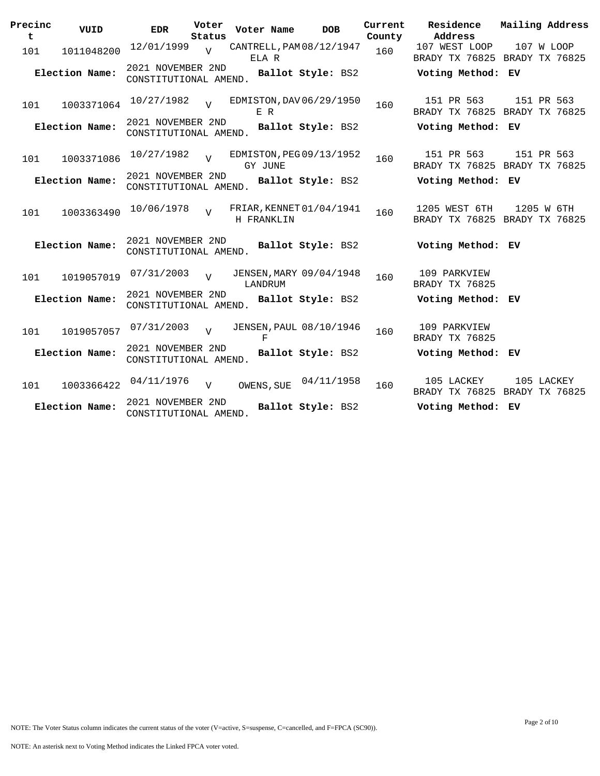| Precinc<br>t | VUID           | <b>EDR</b>                                 | Voter<br>Status | Voter Name | <b>DOB</b>               | Current<br>County | Residence<br>Address                           |  | Mailing Address |
|--------------|----------------|--------------------------------------------|-----------------|------------|--------------------------|-------------------|------------------------------------------------|--|-----------------|
| 101          | 1011048200     | 12/01/1999                                 | $\overline{V}$  | ELA R      | CANTRELL, PAM 08/12/1947 | 160               | 107 WEST LOOP<br>BRADY TX 76825 BRADY TX 76825 |  | 107 W LOOP      |
|              | Election Name: | 2021 NOVEMBER 2ND<br>CONSTITUTIONAL AMEND. |                 |            | Ballot Style: BS2        |                   | Voting Method: EV                              |  |                 |
| 101          | 1003371064     | 10/27/1982                                 |                 | E R        | EDMISTON, DAV 06/29/1950 | 160               | 151 PR 563<br>BRADY TX 76825 BRADY TX 76825    |  | 151 PR 563      |
|              | Election Name: | 2021 NOVEMBER 2ND<br>CONSTITUTIONAL AMEND. |                 |            | Ballot Style: BS2        |                   | Voting Method: EV                              |  |                 |
| 101          | 1003371086     | 10/27/1982                                 | $\overline{U}$  | GY JUNE    | EDMISTON, PEG 09/13/1952 | 160               | 151 PR 563<br>BRADY TX 76825 BRADY TX 76825    |  | 151 PR 563      |
|              | Election Name: | 2021 NOVEMBER 2ND<br>CONSTITUTIONAL AMEND. |                 |            | Ballot Style: BS2        |                   | Voting Method: EV                              |  |                 |
| 101          | 1003363490     | 10/06/1978                                 | $\overline{U}$  | H FRANKLIN | FRIAR, KENNET 01/04/1941 | 160               | 1205 WEST 6TH<br>BRADY TX 76825 BRADY TX 76825 |  | 1205 W 6TH      |
|              | Election Name: | 2021 NOVEMBER 2ND<br>CONSTITUTIONAL AMEND. |                 |            | Ballot Style: BS2        |                   | Voting Method: EV                              |  |                 |
| 101          | 1019057019     | 07/31/2003                                 | $\overline{U}$  | LANDRUM    | JENSEN, MARY 09/04/1948  | 160               | 109 PARKVIEW<br>BRADY TX 76825                 |  |                 |
|              | Election Name: | 2021 NOVEMBER 2ND<br>CONSTITUTIONAL AMEND. |                 |            | Ballot Style: BS2        |                   | Voting Method: EV                              |  |                 |
| 101          | 1019057057     | 07/31/2003                                 | $\overline{17}$ | F          | JENSEN, PAUL 08/10/1946  | 160               | 109 PARKVIEW<br>BRADY TX 76825                 |  |                 |
|              | Election Name: | 2021 NOVEMBER 2ND<br>CONSTITUTIONAL AMEND. |                 |            | Ballot Style: BS2        |                   | Voting Method: EV                              |  |                 |
| 101          | 1003366422     | 04/11/1976                                 | $\overline{v}$  | OWENS, SUE | 04/11/1958               | 160               | 105 LACKEY<br>BRADY TX 76825 BRADY TX 76825    |  | 105 LACKEY      |
|              | Election Name: | 2021 NOVEMBER 2ND<br>CONSTITUTIONAL AMEND. |                 |            | Ballot Style: BS2        |                   | Voting Method: EV                              |  |                 |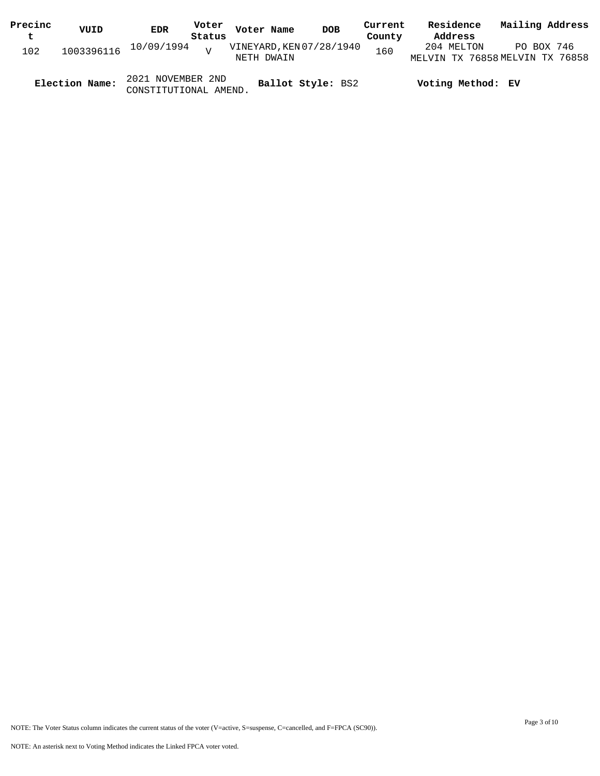| Precinc | VUID           | EDR                                        | Voter | Voter Name                             | <b>DOB</b> | Current | Residence                                     | Mailing Address |  |
|---------|----------------|--------------------------------------------|-------|----------------------------------------|------------|---------|-----------------------------------------------|-----------------|--|
| t       |                | Status                                     |       |                                        |            | County  | Address                                       |                 |  |
| 102     |                | $1003396116$ $10/09/1994$ $V$              |       | VINEYARD, KEN 07/28/1940<br>NETH DWAIN |            | 160     | 204 MELTON<br>MELVIN TX 76858 MELVIN TX 76858 | PO BOX 746      |  |
|         | Election Name: | 2021 NOVEMBER 2ND<br>CONSTITUTIONAL AMEND. |       | Ballot Style: BS2                      |            |         | Voting Method: EV                             |                 |  |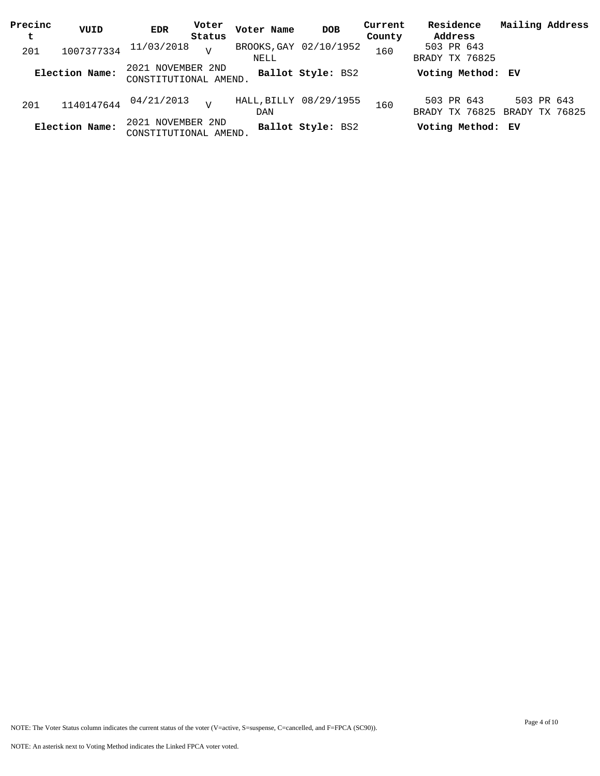| Precinc | VUID           | EDR                                        | Voter          | Voter Name | <b>DOB</b>             | Current | Residence                                   | Mailing Address |            |
|---------|----------------|--------------------------------------------|----------------|------------|------------------------|---------|---------------------------------------------|-----------------|------------|
| t       |                |                                            | Status         |            |                        | County  | Address                                     |                 |            |
| 201     | 1007377334     | 11/03/2018                                 | $\tau$         | NELL       | BROOKS, GAY 02/10/1952 | 160     | 503 PR 643<br>BRADY TX 76825                |                 |            |
|         | Election Name: | 2021 NOVEMBER 2ND<br>CONSTITUTIONAL AMEND. |                |            | Ballot Style: BS2      |         | Voting Method: EV                           |                 |            |
| 201     | 1140147644     | 04/21/2013                                 | $\overline{z}$ | DAN        | HALL, BILLY 08/29/1955 | 160     | 503 PR 643<br>BRADY TX 76825 BRADY TX 76825 |                 | 503 PR 643 |
|         | Election Name: | 2021 NOVEMBER 2ND<br>CONSTITUTIONAL AMEND. |                |            | Ballot Style: BS2      |         | Voting Method: EV                           |                 |            |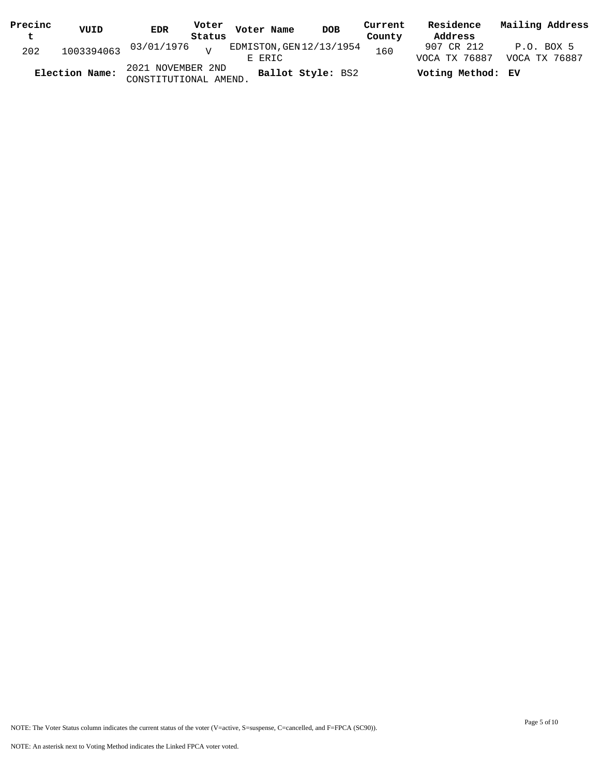| Precinc<br>t | VUID           | <b>EDR</b>                                 | Status | Voter Voter Name | DOB                      | Current<br>County | Residence<br>Address        | Mailing Address               |
|--------------|----------------|--------------------------------------------|--------|------------------|--------------------------|-------------------|-----------------------------|-------------------------------|
| 202          |                | $1003394063$ 03/01/1976 $_{\rm V}$         |        | E ERIC           | EDMISTON, GEN 12/13/1954 | 160               | 907 CR 212<br>VOCA TX 76887 | $P.O.$ BOX 5<br>VOCA TX 76887 |
|              | Election Name: | 2021 NOVEMBER 2ND<br>CONSTITUTIONAL AMEND. |        |                  | Ballot Style: BS2        |                   | Voting Method: EV           |                               |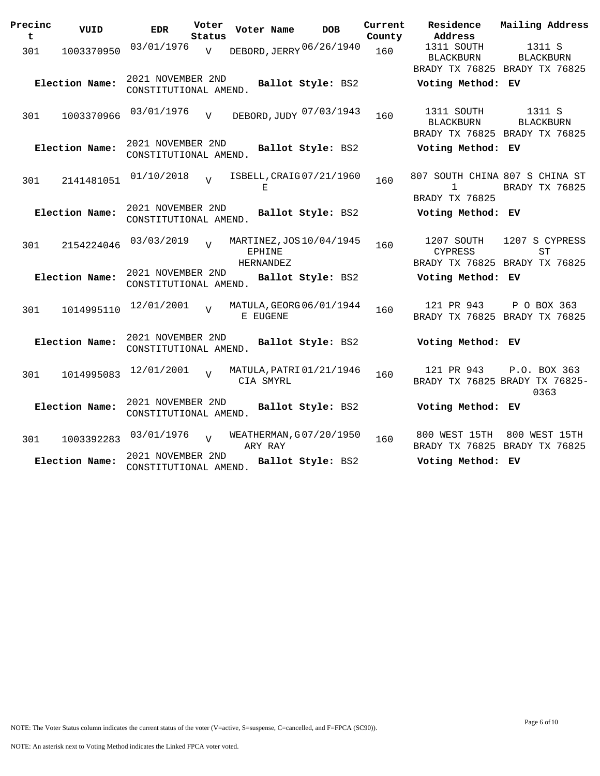| Precinc<br>t | VUID           | <b>EDR</b>                                 | Voter<br>Status | Voter Name          | <b>DOB</b>               | Current<br>County | Residence<br>Address                                            | Mailing Address                                             |
|--------------|----------------|--------------------------------------------|-----------------|---------------------|--------------------------|-------------------|-----------------------------------------------------------------|-------------------------------------------------------------|
| 301          | 1003370950     | 03/01/1976                                 | $\overline{V}$  |                     | DEBORD, JERRY 06/26/1940 | 160               | 1311 SOUTH<br>BLACKBURN                                         | 1311 S<br><b>BLACKBURN</b><br>BRADY TX 76825 BRADY TX 76825 |
|              | Election Name: | 2021 NOVEMBER 2ND<br>CONSTITUTIONAL AMEND. |                 |                     | Ballot Style: BS2        |                   | Voting Method: EV                                               |                                                             |
| 301          | 1003370966     | 03/01/1976                                 | $\overline{V}$  |                     | DEBORD, JUDY 07/03/1943  | 160               | 1311 SOUTH<br><b>BLACKBURN</b><br>BRADY TX 76825 BRADY TX 76825 | 1311 S<br><b>BLACKBURN</b>                                  |
|              | Election Name: | 2021 NOVEMBER 2ND<br>CONSTITUTIONAL AMEND. |                 |                     | Ballot Style: BS2        |                   | Voting Method: EV                                               |                                                             |
| 301          | 2141481051     | 01/10/2018                                 | $\tau$          | Е                   | ISBELL, CRAIG 07/21/1960 | 160               | 807 SOUTH CHINA 807 S CHINA ST<br>1<br>BRADY TX 76825           | BRADY TX 76825                                              |
|              | Election Name: | 2021 NOVEMBER 2ND<br>CONSTITUTIONAL AMEND. |                 |                     | Ballot Style: BS2        |                   | Voting Method: EV                                               |                                                             |
| 301          | 2154224046     | 03/03/2019                                 | $\overline{V}$  | EPHINE<br>HERNANDEZ | MARTINEZ, JOS 10/04/1945 | 160               | 1207 SOUTH<br><b>CYPRESS</b><br>BRADY TX 76825 BRADY TX 76825   | 1207 S CYPRESS<br>SТ                                        |
|              | Election Name: | 2021 NOVEMBER 2ND<br>CONSTITUTIONAL AMEND. |                 |                     | Ballot Style: BS2        |                   | Voting Method: EV                                               |                                                             |
| 301          | 1014995110     | 12/01/2001                                 | $\overline{U}$  | E EUGENE            | MATULA, GEORG 06/01/1944 | 160               | 121 PR 943<br>BRADY TX 76825 BRADY TX 76825                     | P O BOX 363                                                 |
|              | Election Name: | 2021 NOVEMBER 2ND<br>CONSTITUTIONAL AMEND. |                 |                     | Ballot Style: BS2        |                   | Voting Method: EV                                               |                                                             |
| 301          | 1014995083     | 12/01/2001                                 |                 | CIA SMYRL           | MATULA, PATRI 01/21/1946 | 160               | 121 PR 943                                                      | P.O. BOX 363<br>BRADY TX 76825 BRADY TX 76825-<br>0363      |
|              | Election Name: | 2021 NOVEMBER 2ND<br>CONSTITUTIONAL AMEND. |                 |                     | Ballot Style: BS2        |                   | Voting Method: EV                                               |                                                             |
| 301          | 1003392283     | 03/01/1976                                 | $\overline{U}$  | ARY RAY             | WEATHERMAN, G07/20/1950  | 160               | 800 WEST 15TH<br>BRADY TX 76825 BRADY TX 76825                  | 800 WEST 15TH                                               |
|              | Election Name: | 2021 NOVEMBER 2ND<br>CONSTITUTIONAL AMEND. |                 |                     | Ballot Style: BS2        |                   | Voting Method: EV                                               |                                                             |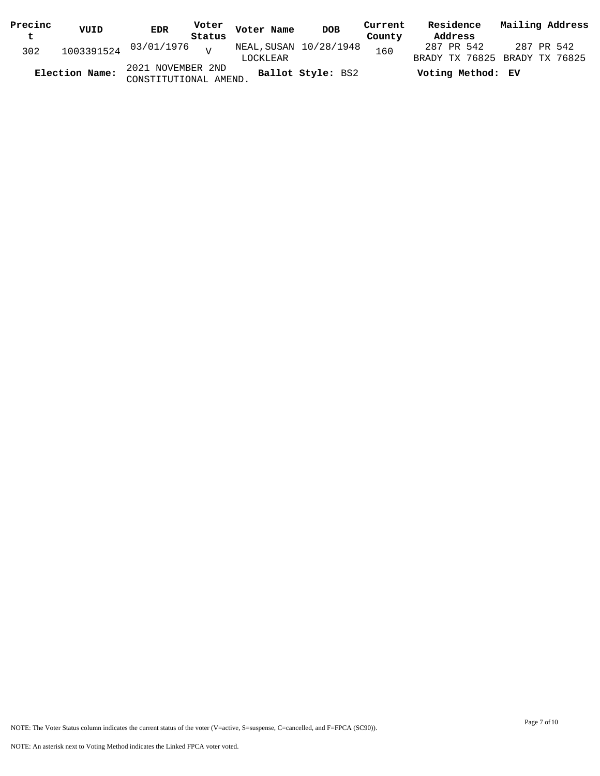| Precinc | VUID           | <b>EDR</b>                                 |        | Voter Voter Name                   | DOB               | Current | Residence         | Mailing Address                             |
|---------|----------------|--------------------------------------------|--------|------------------------------------|-------------------|---------|-------------------|---------------------------------------------|
| t       |                |                                            | Status |                                    |                   | County  | Address           |                                             |
| 302     |                | $1003391524$ $03/01/1976$ $V$              |        | NEAL, SUSAN 10/28/1948<br>LOCKLEAR |                   | 160     | 287 PR 542        | 287 PR 542<br>BRADY TX 76825 BRADY TX 76825 |
|         | Election Name: | 2021 NOVEMBER 2ND<br>CONSTITUTIONAL AMEND. |        |                                    | Ballot Style: BS2 |         | Voting Method: EV |                                             |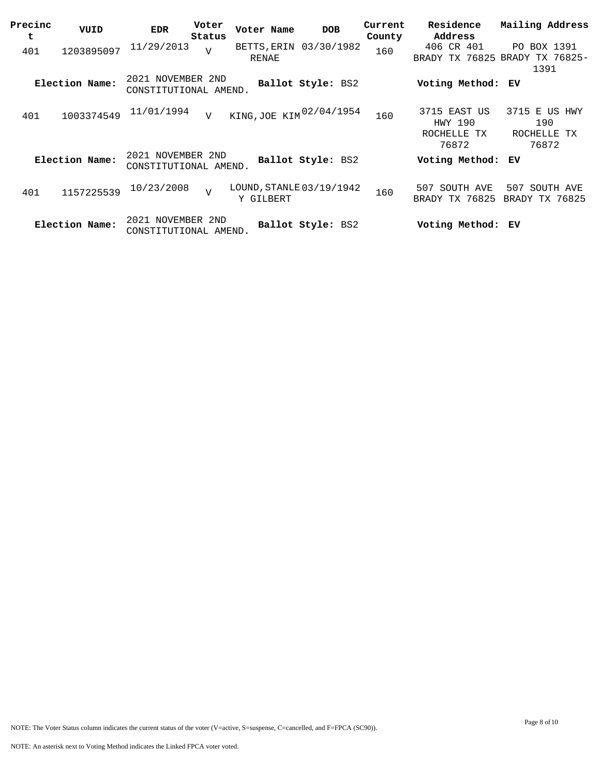| Precinc<br>t | VUID           | <b>EDR</b>                                 | Voter<br>Status | Voter Name                             | <b>DOB</b>        | Current<br>County | Residence<br>Address                            | Mailing Address                                       |
|--------------|----------------|--------------------------------------------|-----------------|----------------------------------------|-------------------|-------------------|-------------------------------------------------|-------------------------------------------------------|
| 401          | 1203895097     | 11/29/2013                                 | $\overline{v}$  | BETTS, ERIN 03/30/1982<br><b>RENAE</b> |                   | 160               | 406 CR 401                                      | PO BOX 1391<br>BRADY TX 76825 BRADY TX 76825-<br>1391 |
|              | Election Name: | 2021 NOVEMBER 2ND<br>CONSTITUTIONAL AMEND. |                 |                                        | Ballot Style: BS2 |                   | Voting Method: EV                               |                                                       |
| 401          | 1003374549     | 11/01/1994                                 | $\overline{V}$  | KING, JOE KIM 02/04/1954               |                   | 160               | 3715 EAST US<br>HWY 190<br>ROCHELLE TX<br>76872 | 3715 E US HWY<br>190<br>ROCHELLE TX<br>76872          |
|              | Election Name: | 2021 NOVEMBER 2ND<br>CONSTITUTIONAL AMEND. |                 |                                        | Ballot Style: BS2 |                   | Voting Method: EV                               |                                                       |
| 401          | 1157225539     | 10/23/2008                                 | $\overline{U}$  | LOUND, STANLE 03/19/1942<br>Y GILBERT  |                   | 160               | SOUTH AVE<br>507<br>BRADY TX 76825              | 507 SOUTH AVE<br>BRADY TX 76825                       |
|              | Election Name: | 2021 NOVEMBER 2ND<br>CONSTITUTIONAL AMEND. |                 |                                        | Ballot Style: BS2 |                   | Voting Method: EV                               |                                                       |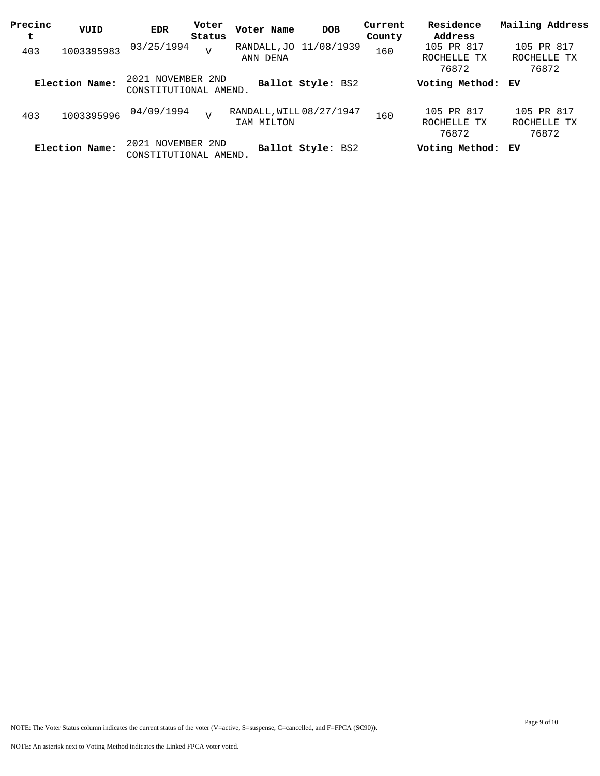| Precinc<br>t | VUID           | EDR                                        | Voter<br>Status | Voter Name                             | <b>DOB</b>        | Current<br>County | Residence<br>Address               | Mailing Address                    |
|--------------|----------------|--------------------------------------------|-----------------|----------------------------------------|-------------------|-------------------|------------------------------------|------------------------------------|
| 403          | 1003395983     | 03/25/1994                                 | $\overline{V}$  | RANDALL, JO 11/08/1939<br>ANN DENA     |                   | 160               | 105 PR 817<br>ROCHELLE TX<br>76872 | 105 PR 817<br>ROCHELLE TX<br>76872 |
|              | Election Name: | 2021 NOVEMBER 2ND<br>CONSTITUTIONAL AMEND. |                 |                                        | Ballot Style: BS2 |                   | Voting Method: EV                  |                                    |
| 403          | 1003395996     | 04/09/1994                                 | $\overline{V}$  | RANDALL, WILL 08/27/1947<br>IAM MILTON |                   | 160               | 105 PR 817<br>ROCHELLE TX<br>76872 | 105 PR 817<br>ROCHELLE TX<br>76872 |
|              | Election Name: | 2021 NOVEMBER 2ND<br>CONSTITUTIONAL AMEND. |                 |                                        | Ballot Style: BS2 |                   | Voting Method: EV                  |                                    |